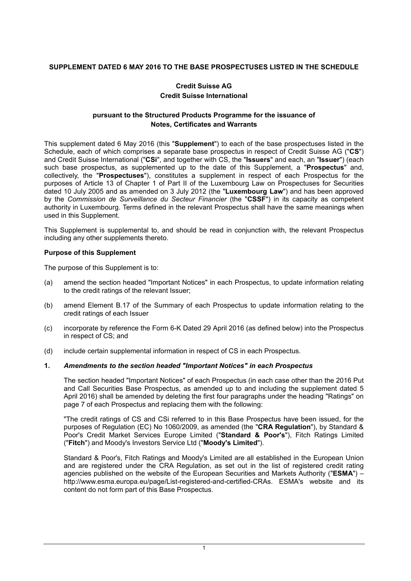# **SUPPLEMENT DATED 6 MAY 2016 TO THE BASE PROSPECTUSES LISTED IN THE SCHEDULE**

# **Credit Suisse AG Credit Suisse International**

# **pursuant to the Structured Products Programme for the issuance of Notes, Certificates and Warrants**

This supplement dated 6 May 2016 (this "**Supplement**") to each of the base prospectuses listed in the Schedule, each of which comprises a separate base prospectus in respect of Credit Suisse AG ("**CS**") and Credit Suisse International ("**CSi**", and together with CS, the "**Issuers**" and each, an "**Issuer**") (each such base prospectus, as supplemented up to the date of this Supplement, a "**Prospectus**" and, collectively, the "**Prospectuses**"), constitutes a supplement in respect of each Prospectus for the purposes of Article 13 of Chapter 1 of Part II of the Luxembourg Law on Prospectuses for Securities dated 10 July 2005 and as amended on 3 July 2012 (the "**Luxembourg Law**") and has been approved by the *Commission de Surveillance du Secteur Financier* (the "**CSSF**") in its capacity as competent authority in Luxembourg. Terms defined in the relevant Prospectus shall have the same meanings when used in this Supplement.

This Supplement is supplemental to, and should be read in conjunction with, the relevant Prospectus including any other supplements thereto.

### **Purpose of this Supplement**

The purpose of this Supplement is to:

- (a) amend the section headed "Important Notices" in each Prospectus, to update information relating to the credit ratings of the relevant Issuer;
- (b) amend Element B.17 of the Summary of each Prospectus to update information relating to the credit ratings of each Issuer
- (c) incorporate by reference the Form 6-K Dated 29 April 2016 (as defined below) into the Prospectus in respect of CS; and
- (d) include certain supplemental information in respect of CS in each Prospectus.

### **1.** *Amendments to the section headed "Important Notices" in each Prospectus*

The section headed "Important Notices" of each Prospectus (in each case other than the 2016 Put and Call Securities Base Prospectus, as amended up to and including the supplement dated 5 April 2016) shall be amended by deleting the first four paragraphs under the heading "Ratings" on page 7 of each Prospectus and replacing them with the following:

"The credit ratings of CS and CSi referred to in this Base Prospectus have been issued, for the purposes of Regulation (EC) No 1060/2009, as amended (the "**CRA Regulation**"), by Standard & Poor's Credit Market Services Europe Limited ("**Standard & Poor's**"), Fitch Ratings Limited ("**Fitch**") and Moody's Investors Service Ltd ("**Moody's Limited**").

Standard & Poor's, Fitch Ratings and Moody's Limited are all established in the European Union and are registered under the CRA Regulation, as set out in the list of registered credit rating agencies published on the website of the European Securities and Markets Authority ("**ESMA**") – http://www.esma.europa.eu/page/List-registered-and-certified-CRAs. ESMA's website and its content do not form part of this Base Prospectus.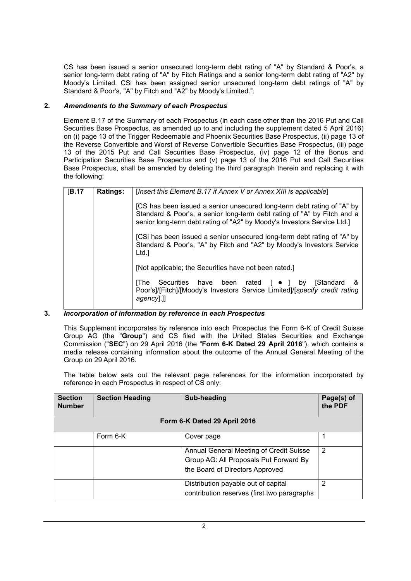CS has been issued a senior unsecured long-term debt rating of "A" by Standard & Poor's, a senior long-term debt rating of "A" by Fitch Ratings and a senior long-term debt rating of "A2" by Moody's Limited. CSi has been assigned senior unsecured long-term debt ratings of "A" by Standard & Poor's, "A" by Fitch and "A2" by Moody's Limited.".

# **2.** *Amendments to the Summary of each Prospectus*

Element B.17 of the Summary of each Prospectus (in each case other than the 2016 Put and Call Securities Base Prospectus, as amended up to and including the supplement dated 5 April 2016) on (i) page 13 of the Trigger Redeemable and Phoenix Securities Base Prospectus, (ii) page 13 of the Reverse Convertible and Worst of Reverse Convertible Securities Base Prospectus, (iii) page 13 of the 2015 Put and Call Securities Base Prospectus, (iv) page 12 of the Bonus and Participation Securities Base Prospectus and (v) page 13 of the 2016 Put and Call Securities Base Prospectus, shall be amended by deleting the third paragraph therein and replacing it with the following:

| [B.17] | <b>Ratings:</b> | [Insert this Element B.17 if Annex V or Annex XIII is applicable]                                                                                                                                                            |  |  |
|--------|-----------------|------------------------------------------------------------------------------------------------------------------------------------------------------------------------------------------------------------------------------|--|--|
|        |                 | [CS has been issued a senior unsecured long-term debt rating of "A" by<br>Standard & Poor's, a senior long-term debt rating of "A" by Fitch and a<br>senior long-term debt rating of "A2" by Moody's Investors Service Ltd.] |  |  |
|        |                 | [CSi has been issued a senior unsecured long-term debt rating of "A" by<br>Standard & Poor's, "A" by Fitch and "A2" by Moody's Investors Service<br>Ltd.l                                                                    |  |  |
|        |                 | [Not applicable; the Securities have not been rated.]                                                                                                                                                                        |  |  |
|        |                 | Securities have been rated $\begin{bmatrix} \bullet \\ \end{bmatrix}$ by<br><b>IStandard</b><br>- &<br><b>IThe</b><br>Poor's]/[Fitch]/[Moody's Investors Service Limited]/[specify credit rating<br>agency.]                 |  |  |

### **3.** *Incorporation of information by reference in each Prospectus*

This Supplement incorporates by reference into each Prospectus the Form 6-K of Credit Suisse Group AG (the "**Group**") and CS filed with the United States Securities and Exchange Commission ("**SEC**") on 29 April 2016 (the "**Form 6-K Dated 29 April 2016**"), which contains a media release containing information about the outcome of the Annual General Meeting of the Group on 29 April 2016.

The table below sets out the relevant page references for the information incorporated by reference in each Prospectus in respect of CS only:

| <b>Section</b><br><b>Number</b> | <b>Section Heading</b> | Sub-heading                                                                                                          | Page(s) of<br>the PDF |  |  |  |  |
|---------------------------------|------------------------|----------------------------------------------------------------------------------------------------------------------|-----------------------|--|--|--|--|
| Form 6-K Dated 29 April 2016    |                        |                                                                                                                      |                       |  |  |  |  |
|                                 | Form 6-K               | Cover page                                                                                                           |                       |  |  |  |  |
|                                 |                        | Annual General Meeting of Credit Suisse<br>Group AG: All Proposals Put Forward By<br>the Board of Directors Approved | 2                     |  |  |  |  |
|                                 |                        | Distribution payable out of capital<br>contribution reserves (first two paragraphs                                   | 2                     |  |  |  |  |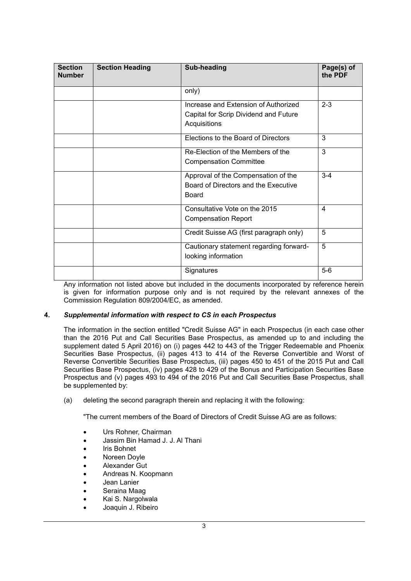| <b>Section</b><br><b>Number</b> | <b>Section Heading</b> | Sub-heading                                                                                   | Page(s) of<br>the PDF |
|---------------------------------|------------------------|-----------------------------------------------------------------------------------------------|-----------------------|
|                                 |                        | only)                                                                                         |                       |
|                                 |                        | Increase and Extension of Authorized<br>Capital for Scrip Dividend and Future<br>Acquisitions | $2 - 3$               |
|                                 |                        | Elections to the Board of Directors                                                           | 3                     |
|                                 |                        | Re-Election of the Members of the<br><b>Compensation Committee</b>                            | 3                     |
|                                 |                        | Approval of the Compensation of the<br>Board of Directors and the Executive<br>Board          | $3-4$                 |
|                                 |                        | Consultative Vote on the 2015<br><b>Compensation Report</b>                                   | 4                     |
|                                 |                        | Credit Suisse AG (first paragraph only)                                                       | 5                     |
|                                 |                        | Cautionary statement regarding forward-<br>looking information                                | 5                     |
|                                 |                        | Signatures                                                                                    | $5-6$                 |

Any information not listed above but included in the documents incorporated by reference herein is given for information purpose only and is not required by the relevant annexes of the Commission Regulation 809/2004/EC, as amended.

### **4.** *Supplemental information with respect to CS in each Prospectus*

The information in the section entitled "Credit Suisse AG" in each Prospectus (in each case other than the 2016 Put and Call Securities Base Prospectus, as amended up to and including the supplement dated 5 April 2016) on (i) pages 442 to 443 of the Trigger Redeemable and Phoenix Securities Base Prospectus, (ii) pages 413 to 414 of the Reverse Convertible and Worst of Reverse Convertible Securities Base Prospectus, (iii) pages 450 to 451 of the 2015 Put and Call Securities Base Prospectus, (iv) pages 428 to 429 of the Bonus and Participation Securities Base Prospectus and (v) pages 493 to 494 of the 2016 Put and Call Securities Base Prospectus, shall be supplemented by:

(a) deleting the second paragraph therein and replacing it with the following:

"The current members of the Board of Directors of Credit Suisse AG are as follows:

- Urs Rohner, Chairman
- Jassim Bin Hamad J. J. Al Thani
- Iris Bohnet
- Noreen Doyle
- Alexander Gut
- Andreas N. Koopmann
- Jean Lanier
- Seraina Maag
- Kai S. Nargolwala
- Joaquin J. Ribeiro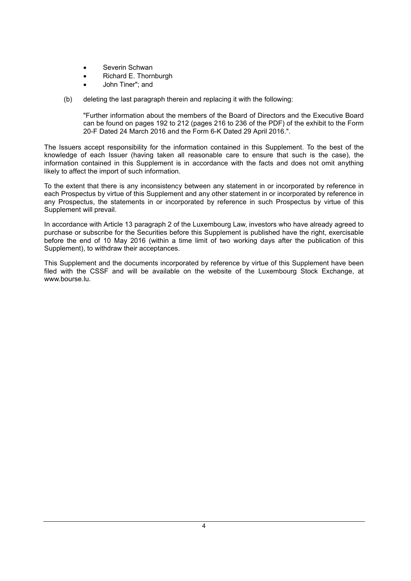- Severin Schwan
- Richard E. Thornburgh
- John Tiner"; and
- (b) deleting the last paragraph therein and replacing it with the following:

"Further information about the members of the Board of Directors and the Executive Board can be found on pages 192 to 212 (pages 216 to 236 of the PDF) of the exhibit to the Form 20-F Dated 24 March 2016 and the Form 6-K Dated 29 April 2016.".

The Issuers accept responsibility for the information contained in this Supplement. To the best of the knowledge of each Issuer (having taken all reasonable care to ensure that such is the case), the information contained in this Supplement is in accordance with the facts and does not omit anything likely to affect the import of such information.

To the extent that there is any inconsistency between any statement in or incorporated by reference in each Prospectus by virtue of this Supplement and any other statement in or incorporated by reference in any Prospectus, the statements in or incorporated by reference in such Prospectus by virtue of this Supplement will prevail.

In accordance with Article 13 paragraph 2 of the Luxembourg Law, investors who have already agreed to purchase or subscribe for the Securities before this Supplement is published have the right, exercisable before the end of 10 May 2016 (within a time limit of two working days after the publication of this Supplement), to withdraw their acceptances.

This Supplement and the documents incorporated by reference by virtue of this Supplement have been filed with the CSSF and will be available on the website of the Luxembourg Stock Exchange, at [www.bourse.lu](http://www.bourse.lu/).